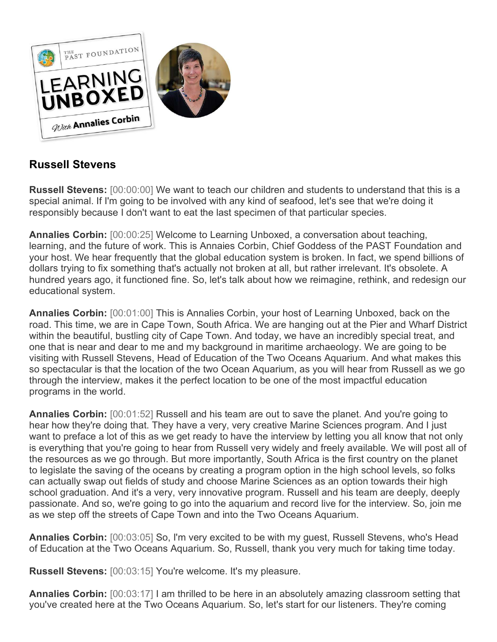

# **Russell Stevens**

**Russell Stevens:** [00:00:00] We want to teach our children and students to understand that this is a special animal. If I'm going to be involved with any kind of seafood, let's see that we're doing it responsibly because I don't want to eat the last specimen of that particular species.

**Annalies Corbin:** [00:00:25] Welcome to Learning Unboxed, a conversation about teaching, learning, and the future of work. This is Annaies Corbin, Chief Goddess of the PAST Foundation and your host. We hear frequently that the global education system is broken. In fact, we spend billions of dollars trying to fix something that's actually not broken at all, but rather irrelevant. It's obsolete. A hundred years ago, it functioned fine. So, let's talk about how we reimagine, rethink, and redesign our educational system.

**Annalies Corbin:** [00:01:00] This is Annalies Corbin, your host of Learning Unboxed, back on the road. This time, we are in Cape Town, South Africa. We are hanging out at the Pier and Wharf District within the beautiful, bustling city of Cape Town. And today, we have an incredibly special treat, and one that is near and dear to me and my background in maritime archaeology. We are going to be visiting with Russell Stevens, Head of Education of the Two Oceans Aquarium. And what makes this so spectacular is that the location of the two Ocean Aquarium, as you will hear from Russell as we go through the interview, makes it the perfect location to be one of the most impactful education programs in the world.

**Annalies Corbin:** [00:01:52] Russell and his team are out to save the planet. And you're going to hear how they're doing that. They have a very, very creative Marine Sciences program. And I just want to preface a lot of this as we get ready to have the interview by letting you all know that not only is everything that you're going to hear from Russell very widely and freely available. We will post all of the resources as we go through. But more importantly, South Africa is the first country on the planet to legislate the saving of the oceans by creating a program option in the high school levels, so folks can actually swap out fields of study and choose Marine Sciences as an option towards their high school graduation. And it's a very, very innovative program. Russell and his team are deeply, deeply passionate. And so, we're going to go into the aquarium and record live for the interview. So, join me as we step off the streets of Cape Town and into the Two Oceans Aquarium.

**Annalies Corbin:** [00:03:05] So, I'm very excited to be with my guest, Russell Stevens, who's Head of Education at the Two Oceans Aquarium. So, Russell, thank you very much for taking time today.

**Russell Stevens:** [00:03:15] You're welcome. It's my pleasure.

**Annalies Corbin:** [00:03:17] I am thrilled to be here in an absolutely amazing classroom setting that you've created here at the Two Oceans Aquarium. So, let's start for our listeners. They're coming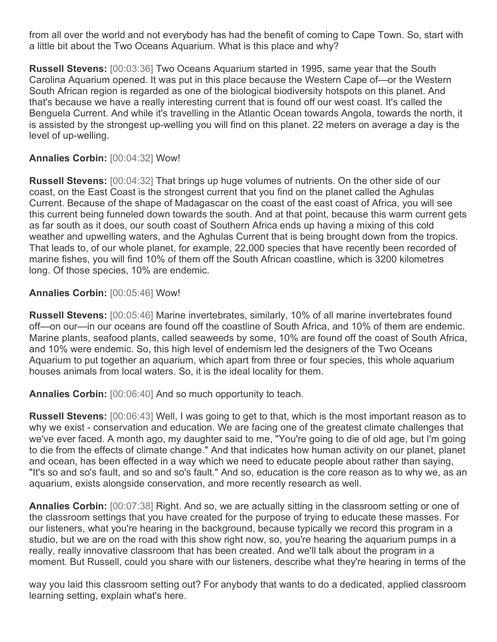from all over the world and not everybody has had the benefit of coming to Cape Town. So, start with a little bit about the Two Oceans Aquarium. What is this place and why?

**Russell Stevens:** [00:03:36] Two Oceans Aquarium started in 1995, same year that the South Carolina Aquarium opened. It was put in this place because the Western Cape of—or the Western South African region is regarded as one of the biological biodiversity hotspots on this planet. And that's because we have a really interesting current that is found off our west coast. It's called the Benguela Current. And while it's travelling in the Atlantic Ocean towards Angola, towards the north, it is assisted by the strongest up-welling you will find on this planet. 22 meters on average a day is the level of up-welling.

#### **Annalies Corbin:** [00:04:32] Wow!

**Russell Stevens:** [00:04:32] That brings up huge volumes of nutrients. On the other side of our coast, on the East Coast is the strongest current that you find on the planet called the Aghulas Current. Because of the shape of Madagascar on the coast of the east coast of Africa, you will see this current being funneled down towards the south. And at that point, because this warm current gets as far south as it does, our south coast of Southern Africa ends up having a mixing of this cold weather and upwelling waters, and the Aghulas Current that is being brought down from the tropics. That leads to, of our whole planet, for example, 22,000 species that have recently been recorded of marine fishes, you will find 10% of them off the South African coastline, which is 3200 kilometres long. Of those species, 10% are endemic.

#### **Annalies Corbin:** [00:05:46] Wow!

**Russell Stevens:** [00:05:46] Marine invertebrates, similarly, 10% of all marine invertebrates found off—on our—in our oceans are found off the coastline of South Africa, and 10% of them are endemic. Marine plants, seafood plants, called seaweeds by some, 10% are found off the coast of South Africa, and 10% were endemic. So, this high level of endemism led the designers of the Two Oceans Aquarium to put together an aquarium, which apart from three or four species, this whole aquarium houses animals from local waters. So, it is the ideal locality for them.

**Annalies Corbin:** [00:06:40] And so much opportunity to teach.

**Russell Stevens:** [00:06:43] Well, I was going to get to that, which is the most important reason as to why we exist - conservation and education. We are facing one of the greatest climate challenges that we've ever faced. A month ago, my daughter said to me, "You're going to die of old age, but I'm going to die from the effects of climate change." And that indicates how human activity on our planet, planet and ocean, has been effected in a way which we need to educate people about rather than saying, "It's so and so's fault, and so and so's fault." And so, education is the core reason as to why we, as an aquarium, exists alongside conservation, and more recently research as well.

**Annalies Corbin:** [00:07:38] Right. And so, we are actually sitting in the classroom setting or one of the classroom settings that you have created for the purpose of trying to educate these masses. For our listeners, what you're hearing in the background, because typically we record this program in a studio, but we are on the road with this show right now, so, you're hearing the aquarium pumps in a really, really innovative classroom that has been created. And we'll talk about the program in a moment. But Russell, could you share with our listeners, describe what they're hearing in terms of the

way you laid this classroom setting out? For anybody that wants to do a dedicated, applied classroom learning setting, explain what's here.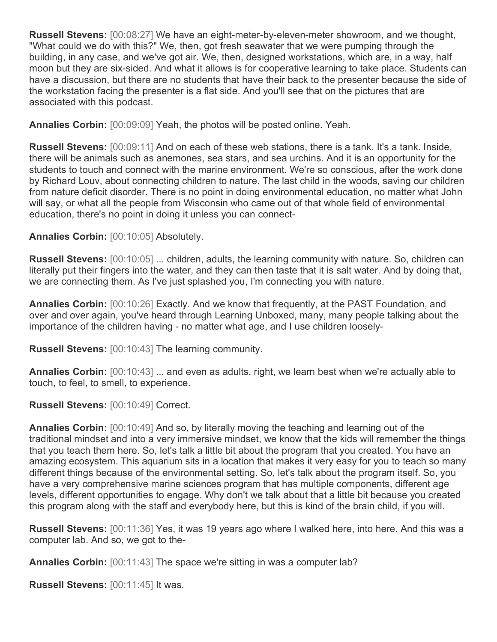**Russell Stevens:** [00:08:27] We have an eight-meter-by-eleven-meter showroom, and we thought, "What could we do with this?" We, then, got fresh seawater that we were pumping through the building, in any case, and we've got air. We, then, designed workstations, which are, in a way, half moon but they are six-sided. And what it allows is for cooperative learning to take place. Students can have a discussion, but there are no students that have their back to the presenter because the side of the workstation facing the presenter is a flat side. And you'll see that on the pictures that are associated with this podcast.

**Annalies Corbin:** [00:09:09] Yeah, the photos will be posted online. Yeah.

**Russell Stevens:** [00:09:11] And on each of these web stations, there is a tank. It's a tank. Inside, there will be animals such as anemones, sea stars, and sea urchins. And it is an opportunity for the students to touch and connect with the marine environment. We're so conscious, after the work done by Richard Louv, about connecting children to nature. The last child in the woods, saving our children from nature deficit disorder. There is no point in doing environmental education, no matter what John will say, or what all the people from Wisconsin who came out of that whole field of environmental education, there's no point in doing it unless you can connect-

## **Annalies Corbin:** [00:10:05] Absolutely.

**Russell Stevens:** [00:10:05] ... children, adults, the learning community with nature. So, children can literally put their fingers into the water, and they can then taste that it is salt water. And by doing that, we are connecting them. As I've just splashed you, I'm connecting you with nature.

**Annalies Corbin:** [00:10:26] Exactly. And we know that frequently, at the PAST Foundation, and over and over again, you've heard through Learning Unboxed, many, many people talking about the importance of the children having - no matter what age, and I use children loosely-

**Russell Stevens:** [00:10:43] The learning community.

**Annalies Corbin:** [00:10:43] ... and even as adults, right, we learn best when we're actually able to touch, to feel, to smell, to experience.

**Russell Stevens:** [00:10:49] Correct.

**Annalies Corbin:** [00:10:49] And so, by literally moving the teaching and learning out of the traditional mindset and into a very immersive mindset, we know that the kids will remember the things that you teach them here. So, let's talk a little bit about the program that you created. You have an amazing ecosystem. This aquarium sits in a location that makes it very easy for you to teach so many different things because of the environmental setting. So, let's talk about the program itself. So, you have a very comprehensive marine sciences program that has multiple components, different age levels, different opportunities to engage. Why don't we talk about that a little bit because you created this program along with the staff and everybody here, but this is kind of the brain child, if you will.

**Russell Stevens:** [00:11:36] Yes, it was 19 years ago where I walked here, into here. And this was a computer lab. And so, we got to the-

**Annalies Corbin:** [00:11:43] The space we're sitting in was a computer lab?

**Russell Stevens:** [00:11:45] It was.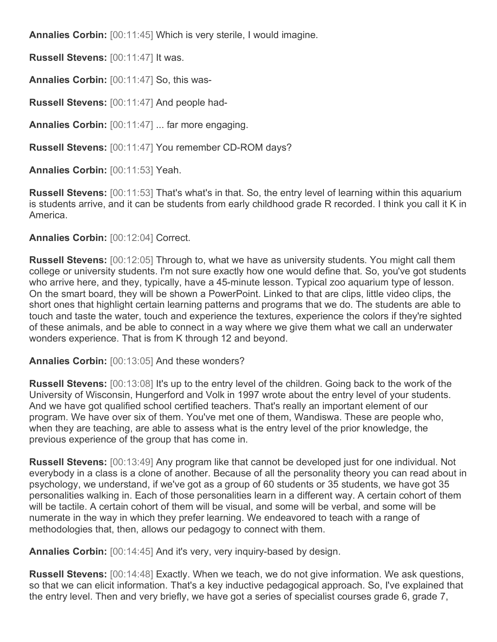**Annalies Corbin:** [00:11:45] Which is very sterile, I would imagine.

**Russell Stevens:** [00:11:47] It was.

**Annalies Corbin:** [00:11:47] So, this was-

**Russell Stevens:** [00:11:47] And people had-

**Annalies Corbin:** [00:11:47] ... far more engaging.

**Russell Stevens:** [00:11:47] You remember CD-ROM days?

**Annalies Corbin:** [00:11:53] Yeah.

**Russell Stevens:** [00:11:53] That's what's in that. So, the entry level of learning within this aquarium is students arrive, and it can be students from early childhood grade R recorded. I think you call it K in America.

**Annalies Corbin:** [00:12:04] Correct.

**Russell Stevens:** [00:12:05] Through to, what we have as university students. You might call them college or university students. I'm not sure exactly how one would define that. So, you've got students who arrive here, and they, typically, have a 45-minute lesson. Typical zoo aquarium type of lesson. On the smart board, they will be shown a PowerPoint. Linked to that are clips, little video clips, the short ones that highlight certain learning patterns and programs that we do. The students are able to touch and taste the water, touch and experience the textures, experience the colors if they're sighted of these animals, and be able to connect in a way where we give them what we call an underwater wonders experience. That is from K through 12 and beyond.

**Annalies Corbin:** [00:13:05] And these wonders?

**Russell Stevens:** [00:13:08] It's up to the entry level of the children. Going back to the work of the University of Wisconsin, Hungerford and Volk in 1997 wrote about the entry level of your students. And we have got qualified school certified teachers. That's really an important element of our program. We have over six of them. You've met one of them, Wandiswa. These are people who, when they are teaching, are able to assess what is the entry level of the prior knowledge, the previous experience of the group that has come in.

**Russell Stevens:** [00:13:49] Any program like that cannot be developed just for one individual. Not everybody in a class is a clone of another. Because of all the personality theory you can read about in psychology, we understand, if we've got as a group of 60 students or 35 students, we have got 35 personalities walking in. Each of those personalities learn in a different way. A certain cohort of them will be tactile. A certain cohort of them will be visual, and some will be verbal, and some will be numerate in the way in which they prefer learning. We endeavored to teach with a range of methodologies that, then, allows our pedagogy to connect with them.

**Annalies Corbin:** [00:14:45] And it's very, very inquiry-based by design.

**Russell Stevens:** [00:14:48] Exactly. When we teach, we do not give information. We ask questions, so that we can elicit information. That's a key inductive pedagogical approach. So, I've explained that the entry level. Then and very briefly, we have got a series of specialist courses grade 6, grade 7,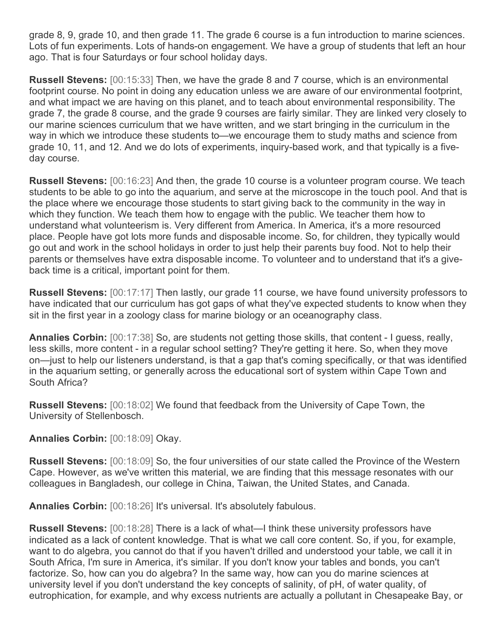grade 8, 9, grade 10, and then grade 11. The grade 6 course is a fun introduction to marine sciences. Lots of fun experiments. Lots of hands-on engagement. We have a group of students that left an hour ago. That is four Saturdays or four school holiday days.

**Russell Stevens:** [00:15:33] Then, we have the grade 8 and 7 course, which is an environmental footprint course. No point in doing any education unless we are aware of our environmental footprint, and what impact we are having on this planet, and to teach about environmental responsibility. The grade 7, the grade 8 course, and the grade 9 courses are fairly similar. They are linked very closely to our marine sciences curriculum that we have written, and we start bringing in the curriculum in the way in which we introduce these students to—we encourage them to study maths and science from grade 10, 11, and 12. And we do lots of experiments, inquiry-based work, and that typically is a fiveday course.

**Russell Stevens:** [00:16:23] And then, the grade 10 course is a volunteer program course. We teach students to be able to go into the aquarium, and serve at the microscope in the touch pool. And that is the place where we encourage those students to start giving back to the community in the way in which they function. We teach them how to engage with the public. We teacher them how to understand what volunteerism is. Very different from America. In America, it's a more resourced place. People have got lots more funds and disposable income. So, for children, they typically would go out and work in the school holidays in order to just help their parents buy food. Not to help their parents or themselves have extra disposable income. To volunteer and to understand that it's a giveback time is a critical, important point for them.

**Russell Stevens:** [00:17:17] Then lastly, our grade 11 course, we have found university professors to have indicated that our curriculum has got gaps of what they've expected students to know when they sit in the first year in a zoology class for marine biology or an oceanography class.

**Annalies Corbin:** [00:17:38] So, are students not getting those skills, that content - I guess, really, less skills, more content - in a regular school setting? They're getting it here. So, when they move on—just to help our listeners understand, is that a gap that's coming specifically, or that was identified in the aquarium setting, or generally across the educational sort of system within Cape Town and South Africa?

**Russell Stevens:** [00:18:02] We found that feedback from the University of Cape Town, the University of Stellenbosch.

**Annalies Corbin:** [00:18:09] Okay.

**Russell Stevens:** [00:18:09] So, the four universities of our state called the Province of the Western Cape. However, as we've written this material, we are finding that this message resonates with our colleagues in Bangladesh, our college in China, Taiwan, the United States, and Canada.

**Annalies Corbin:** [00:18:26] It's universal. It's absolutely fabulous.

**Russell Stevens:** [00:18:28] There is a lack of what—I think these university professors have indicated as a lack of content knowledge. That is what we call core content. So, if you, for example, want to do algebra, you cannot do that if you haven't drilled and understood your table, we call it in South Africa, I'm sure in America, it's similar. If you don't know your tables and bonds, you can't factorize. So, how can you do algebra? In the same way, how can you do marine sciences at university level if you don't understand the key concepts of salinity, of pH, of water quality, of eutrophication, for example, and why excess nutrients are actually a pollutant in Chesapeake Bay, or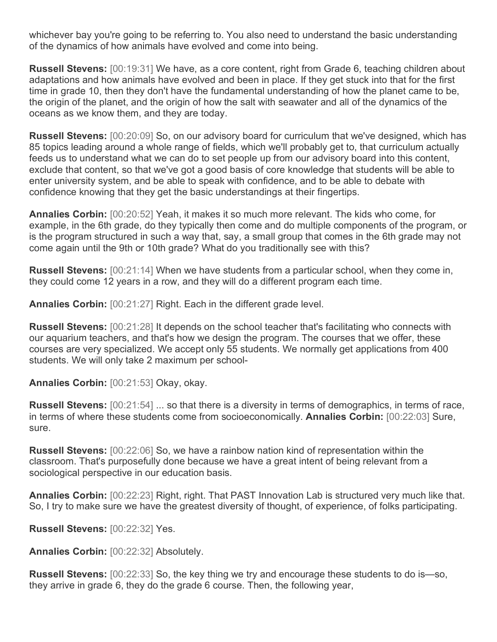whichever bay you're going to be referring to. You also need to understand the basic understanding of the dynamics of how animals have evolved and come into being.

**Russell Stevens:** [00:19:31] We have, as a core content, right from Grade 6, teaching children about adaptations and how animals have evolved and been in place. If they get stuck into that for the first time in grade 10, then they don't have the fundamental understanding of how the planet came to be, the origin of the planet, and the origin of how the salt with seawater and all of the dynamics of the oceans as we know them, and they are today.

**Russell Stevens:** [00:20:09] So, on our advisory board for curriculum that we've designed, which has 85 topics leading around a whole range of fields, which we'll probably get to, that curriculum actually feeds us to understand what we can do to set people up from our advisory board into this content, exclude that content, so that we've got a good basis of core knowledge that students will be able to enter university system, and be able to speak with confidence, and to be able to debate with confidence knowing that they get the basic understandings at their fingertips.

**Annalies Corbin:** [00:20:52] Yeah, it makes it so much more relevant. The kids who come, for example, in the 6th grade, do they typically then come and do multiple components of the program, or is the program structured in such a way that, say, a small group that comes in the 6th grade may not come again until the 9th or 10th grade? What do you traditionally see with this?

**Russell Stevens:** [00:21:14] When we have students from a particular school, when they come in, they could come 12 years in a row, and they will do a different program each time.

**Annalies Corbin:** [00:21:27] Right. Each in the different grade level.

**Russell Stevens:** [00:21:28] It depends on the school teacher that's facilitating who connects with our aquarium teachers, and that's how we design the program. The courses that we offer, these courses are very specialized. We accept only 55 students. We normally get applications from 400 students. We will only take 2 maximum per school-

**Annalies Corbin:** [00:21:53] Okay, okay.

**Russell Stevens:** [00:21:54] ... so that there is a diversity in terms of demographics, in terms of race, in terms of where these students come from socioeconomically. **Annalies Corbin:** [00:22:03] Sure, sure.

**Russell Stevens:** [00:22:06] So, we have a rainbow nation kind of representation within the classroom. That's purposefully done because we have a great intent of being relevant from a sociological perspective in our education basis.

**Annalies Corbin:** [00:22:23] Right, right. That PAST Innovation Lab is structured very much like that. So, I try to make sure we have the greatest diversity of thought, of experience, of folks participating.

**Russell Stevens:** [00:22:32] Yes.

**Annalies Corbin:** [00:22:32] Absolutely.

**Russell Stevens:** [00:22:33] So, the key thing we try and encourage these students to do is—so, they arrive in grade 6, they do the grade 6 course. Then, the following year,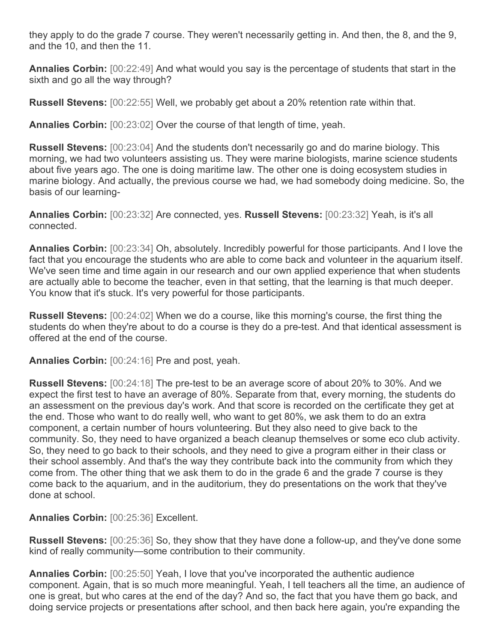they apply to do the grade 7 course. They weren't necessarily getting in. And then, the 8, and the 9, and the 10, and then the 11.

**Annalies Corbin:** [00:22:49] And what would you say is the percentage of students that start in the sixth and go all the way through?

**Russell Stevens:** [00:22:55] Well, we probably get about a 20% retention rate within that.

**Annalies Corbin:** [00:23:02] Over the course of that length of time, yeah.

**Russell Stevens:** [00:23:04] And the students don't necessarily go and do marine biology. This morning, we had two volunteers assisting us. They were marine biologists, marine science students about five years ago. The one is doing maritime law. The other one is doing ecosystem studies in marine biology. And actually, the previous course we had, we had somebody doing medicine. So, the basis of our learning-

**Annalies Corbin:** [00:23:32] Are connected, yes. **Russell Stevens:** [00:23:32] Yeah, is it's all connected.

**Annalies Corbin:** [00:23:34] Oh, absolutely. Incredibly powerful for those participants. And I love the fact that you encourage the students who are able to come back and volunteer in the aquarium itself. We've seen time and time again in our research and our own applied experience that when students are actually able to become the teacher, even in that setting, that the learning is that much deeper. You know that it's stuck. It's very powerful for those participants.

**Russell Stevens:** [00:24:02] When we do a course, like this morning's course, the first thing the students do when they're about to do a course is they do a pre-test. And that identical assessment is offered at the end of the course.

**Annalies Corbin:** [00:24:16] Pre and post, yeah.

**Russell Stevens:** [00:24:18] The pre-test to be an average score of about 20% to 30%. And we expect the first test to have an average of 80%. Separate from that, every morning, the students do an assessment on the previous day's work. And that score is recorded on the certificate they get at the end. Those who want to do really well, who want to get 80%, we ask them to do an extra component, a certain number of hours volunteering. But they also need to give back to the community. So, they need to have organized a beach cleanup themselves or some eco club activity. So, they need to go back to their schools, and they need to give a program either in their class or their school assembly. And that's the way they contribute back into the community from which they come from. The other thing that we ask them to do in the grade 6 and the grade 7 course is they come back to the aquarium, and in the auditorium, they do presentations on the work that they've done at school.

**Annalies Corbin:** [00:25:36] Excellent.

**Russell Stevens:** [00:25:36] So, they show that they have done a follow-up, and they've done some kind of really community—some contribution to their community.

**Annalies Corbin:** [00:25:50] Yeah, I love that you've incorporated the authentic audience component. Again, that is so much more meaningful. Yeah, I tell teachers all the time, an audience of one is great, but who cares at the end of the day? And so, the fact that you have them go back, and doing service projects or presentations after school, and then back here again, you're expanding the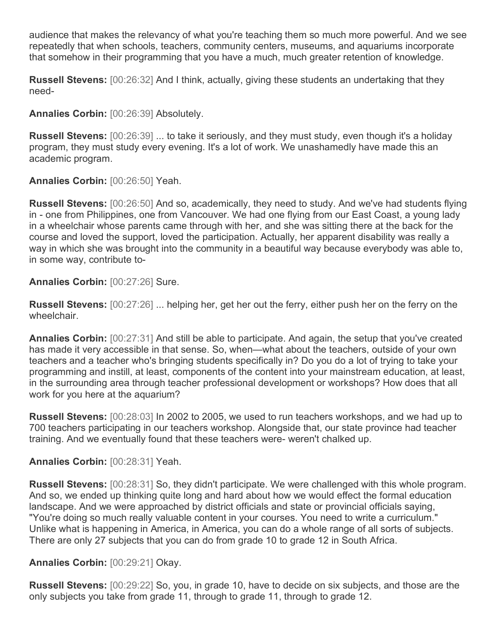audience that makes the relevancy of what you're teaching them so much more powerful. And we see repeatedly that when schools, teachers, community centers, museums, and aquariums incorporate that somehow in their programming that you have a much, much greater retention of knowledge.

**Russell Stevens:** [00:26:32] And I think, actually, giving these students an undertaking that they need-

**Annalies Corbin:** [00:26:39] Absolutely.

**Russell Stevens:** [00:26:39] ... to take it seriously, and they must study, even though it's a holiday program, they must study every evening. It's a lot of work. We unashamedly have made this an academic program.

**Annalies Corbin:** [00:26:50] Yeah.

**Russell Stevens:** [00:26:50] And so, academically, they need to study. And we've had students flying in - one from Philippines, one from Vancouver. We had one flying from our East Coast, a young lady in a wheelchair whose parents came through with her, and she was sitting there at the back for the course and loved the support, loved the participation. Actually, her apparent disability was really a way in which she was brought into the community in a beautiful way because everybody was able to, in some way, contribute to-

**Annalies Corbin:** [00:27:26] Sure.

**Russell Stevens:** [00:27:26] ... helping her, get her out the ferry, either push her on the ferry on the wheelchair.

**Annalies Corbin:** [00:27:31] And still be able to participate. And again, the setup that you've created has made it very accessible in that sense. So, when—what about the teachers, outside of your own teachers and a teacher who's bringing students specifically in? Do you do a lot of trying to take your programming and instill, at least, components of the content into your mainstream education, at least, in the surrounding area through teacher professional development or workshops? How does that all work for you here at the aquarium?

**Russell Stevens:** [00:28:03] In 2002 to 2005, we used to run teachers workshops, and we had up to 700 teachers participating in our teachers workshop. Alongside that, our state province had teacher training. And we eventually found that these teachers were- weren't chalked up.

**Annalies Corbin:** [00:28:31] Yeah.

**Russell Stevens:** [00:28:31] So, they didn't participate. We were challenged with this whole program. And so, we ended up thinking quite long and hard about how we would effect the formal education landscape. And we were approached by district officials and state or provincial officials saying, "You're doing so much really valuable content in your courses. You need to write a curriculum." Unlike what is happening in America, in America, you can do a whole range of all sorts of subjects. There are only 27 subjects that you can do from grade 10 to grade 12 in South Africa.

## **Annalies Corbin:** [00:29:21] Okay.

**Russell Stevens:** [00:29:22] So, you, in grade 10, have to decide on six subjects, and those are the only subjects you take from grade 11, through to grade 11, through to grade 12.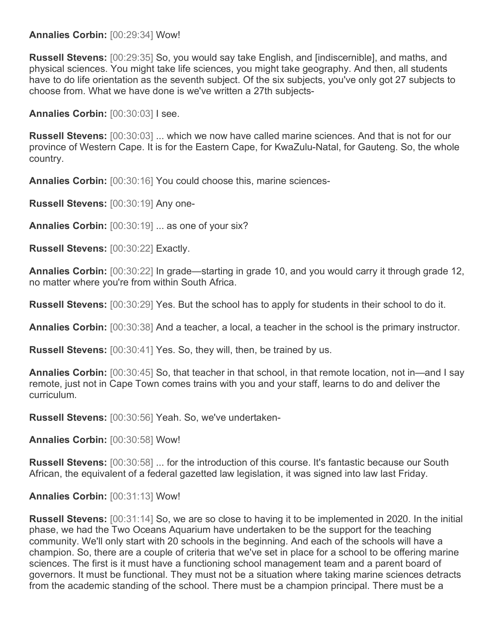#### **Annalies Corbin:** [00:29:34] Wow!

**Russell Stevens:** [00:29:35] So, you would say take English, and [indiscernible], and maths, and physical sciences. You might take life sciences, you might take geography. And then, all students have to do life orientation as the seventh subject. Of the six subjects, you've only got 27 subjects to choose from. What we have done is we've written a 27th subjects-

**Annalies Corbin:** [00:30:03] I see.

**Russell Stevens:** [00:30:03] ... which we now have called marine sciences. And that is not for our province of Western Cape. It is for the Eastern Cape, for KwaZulu-Natal, for Gauteng. So, the whole country.

**Annalies Corbin:** [00:30:16] You could choose this, marine sciences-

**Russell Stevens:** [00:30:19] Any one-

**Annalies Corbin:** [00:30:19] ... as one of your six?

**Russell Stevens:** [00:30:22] Exactly.

**Annalies Corbin:** [00:30:22] In grade—starting in grade 10, and you would carry it through grade 12, no matter where you're from within South Africa.

**Russell Stevens:** [00:30:29] Yes. But the school has to apply for students in their school to do it.

**Annalies Corbin:** [00:30:38] And a teacher, a local, a teacher in the school is the primary instructor.

**Russell Stevens:** [00:30:41] Yes. So, they will, then, be trained by us.

**Annalies Corbin:** [00:30:45] So, that teacher in that school, in that remote location, not in—and I say remote, just not in Cape Town comes trains with you and your staff, learns to do and deliver the curriculum.

**Russell Stevens:** [00:30:56] Yeah. So, we've undertaken-

**Annalies Corbin:** [00:30:58] Wow!

**Russell Stevens:** [00:30:58] ... for the introduction of this course. It's fantastic because our South African, the equivalent of a federal gazetted law legislation, it was signed into law last Friday.

**Annalies Corbin:** [00:31:13] Wow!

**Russell Stevens:** [00:31:14] So, we are so close to having it to be implemented in 2020. In the initial phase, we had the Two Oceans Aquarium have undertaken to be the support for the teaching community. We'll only start with 20 schools in the beginning. And each of the schools will have a champion. So, there are a couple of criteria that we've set in place for a school to be offering marine sciences. The first is it must have a functioning school management team and a parent board of governors. It must be functional. They must not be a situation where taking marine sciences detracts from the academic standing of the school. There must be a champion principal. There must be a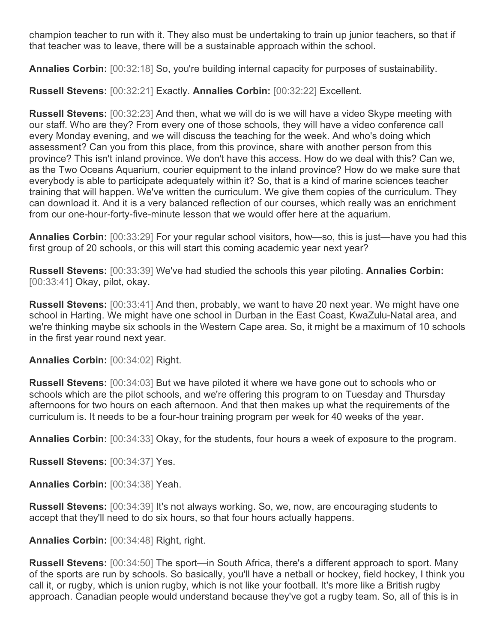champion teacher to run with it. They also must be undertaking to train up junior teachers, so that if that teacher was to leave, there will be a sustainable approach within the school.

**Annalies Corbin:** [00:32:18] So, you're building internal capacity for purposes of sustainability.

**Russell Stevens:** [00:32:21] Exactly. **Annalies Corbin:** [00:32:22] Excellent.

**Russell Stevens:** [00:32:23] And then, what we will do is we will have a video Skype meeting with our staff. Who are they? From every one of those schools, they will have a video conference call every Monday evening, and we will discuss the teaching for the week. And who's doing which assessment? Can you from this place, from this province, share with another person from this province? This isn't inland province. We don't have this access. How do we deal with this? Can we, as the Two Oceans Aquarium, courier equipment to the inland province? How do we make sure that everybody is able to participate adequately within it? So, that is a kind of marine sciences teacher training that will happen. We've written the curriculum. We give them copies of the curriculum. They can download it. And it is a very balanced reflection of our courses, which really was an enrichment from our one-hour-forty-five-minute lesson that we would offer here at the aquarium.

**Annalies Corbin:** [00:33:29] For your regular school visitors, how—so, this is just—have you had this first group of 20 schools, or this will start this coming academic year next year?

**Russell Stevens:** [00:33:39] We've had studied the schools this year piloting. **Annalies Corbin:**  [00:33:41] Okay, pilot, okay.

**Russell Stevens:** [00:33:41] And then, probably, we want to have 20 next year. We might have one school in Harting. We might have one school in Durban in the East Coast, KwaZulu-Natal area, and we're thinking maybe six schools in the Western Cape area. So, it might be a maximum of 10 schools in the first year round next year.

**Annalies Corbin:** [00:34:02] Right.

**Russell Stevens:** [00:34:03] But we have piloted it where we have gone out to schools who or schools which are the pilot schools, and we're offering this program to on Tuesday and Thursday afternoons for two hours on each afternoon. And that then makes up what the requirements of the curriculum is. It needs to be a four-hour training program per week for 40 weeks of the year.

**Annalies Corbin:** [00:34:33] Okay, for the students, four hours a week of exposure to the program.

**Russell Stevens:** [00:34:37] Yes.

**Annalies Corbin:** [00:34:38] Yeah.

**Russell Stevens:** [00:34:39] It's not always working. So, we, now, are encouraging students to accept that they'll need to do six hours, so that four hours actually happens.

**Annalies Corbin:** [00:34:48] Right, right.

**Russell Stevens:** [00:34:50] The sport—in South Africa, there's a different approach to sport. Many of the sports are run by schools. So basically, you'll have a netball or hockey, field hockey, I think you call it, or rugby, which is union rugby, which is not like your football. It's more like a British rugby approach. Canadian people would understand because they've got a rugby team. So, all of this is in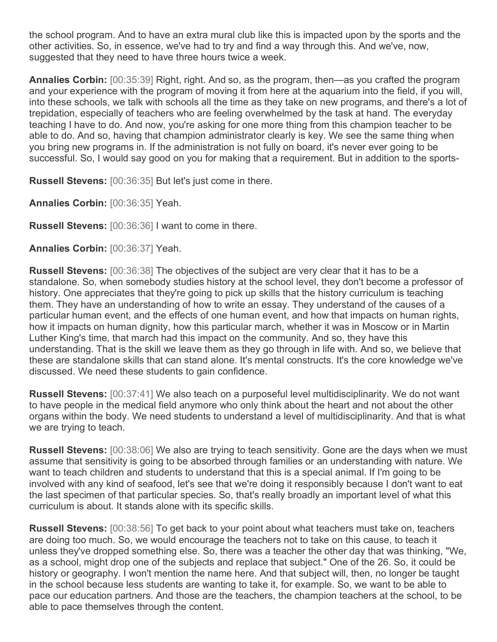the school program. And to have an extra mural club like this is impacted upon by the sports and the other activities. So, in essence, we've had to try and find a way through this. And we've, now, suggested that they need to have three hours twice a week.

**Annalies Corbin:** [00:35:39] Right, right. And so, as the program, then—as you crafted the program and your experience with the program of moving it from here at the aquarium into the field, if you will, into these schools, we talk with schools all the time as they take on new programs, and there's a lot of trepidation, especially of teachers who are feeling overwhelmed by the task at hand. The everyday teaching I have to do. And now, you're asking for one more thing from this champion teacher to be able to do. And so, having that champion administrator clearly is key. We see the same thing when you bring new programs in. If the administration is not fully on board, it's never ever going to be successful. So, I would say good on you for making that a requirement. But in addition to the sports-

**Russell Stevens:** [00:36:35] But let's just come in there.

**Annalies Corbin:** [00:36:35] Yeah.

**Russell Stevens:** [00:36:36] I want to come in there.

**Annalies Corbin:** [00:36:37] Yeah.

**Russell Stevens:** [00:36:38] The objectives of the subject are very clear that it has to be a standalone. So, when somebody studies history at the school level, they don't become a professor of history. One appreciates that they're going to pick up skills that the history curriculum is teaching them. They have an understanding of how to write an essay. They understand of the causes of a particular human event, and the effects of one human event, and how that impacts on human rights, how it impacts on human dignity, how this particular march, whether it was in Moscow or in Martin Luther King's time, that march had this impact on the community. And so, they have this understanding. That is the skill we leave them as they go through in life with. And so, we believe that these are standalone skills that can stand alone. It's mental constructs. It's the core knowledge we've discussed. We need these students to gain confidence.

**Russell Stevens:** [00:37:41] We also teach on a purposeful level multidisciplinarity. We do not want to have people in the medical field anymore who only think about the heart and not about the other organs within the body. We need students to understand a level of multidisciplinarity. And that is what we are trying to teach.

**Russell Stevens:** [00:38:06] We also are trying to teach sensitivity. Gone are the days when we must assume that sensitivity is going to be absorbed through families or an understanding with nature. We want to teach children and students to understand that this is a special animal. If I'm going to be involved with any kind of seafood, let's see that we're doing it responsibly because I don't want to eat the last specimen of that particular species. So, that's really broadly an important level of what this curriculum is about. It stands alone with its specific skills.

**Russell Stevens:** [00:38:56] To get back to your point about what teachers must take on, teachers are doing too much. So, we would encourage the teachers not to take on this cause, to teach it unless they've dropped something else. So, there was a teacher the other day that was thinking, "We, as a school, might drop one of the subjects and replace that subject." One of the 26. So, it could be history or geography. I won't mention the name here. And that subject will, then, no longer be taught in the school because less students are wanting to take it, for example. So, we want to be able to pace our education partners. And those are the teachers, the champion teachers at the school, to be able to pace themselves through the content.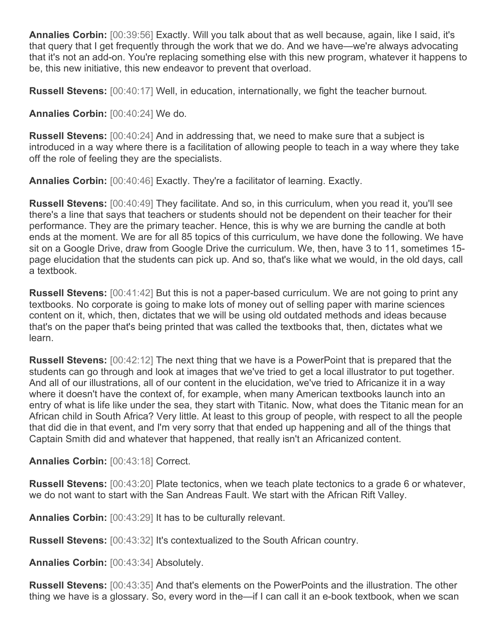**Annalies Corbin:** [00:39:56] Exactly. Will you talk about that as well because, again, like I said, it's that query that I get frequently through the work that we do. And we have—we're always advocating that it's not an add-on. You're replacing something else with this new program, whatever it happens to be, this new initiative, this new endeavor to prevent that overload.

**Russell Stevens:** [00:40:17] Well, in education, internationally, we fight the teacher burnout.

**Annalies Corbin:** [00:40:24] We do.

**Russell Stevens:** [00:40:24] And in addressing that, we need to make sure that a subject is introduced in a way where there is a facilitation of allowing people to teach in a way where they take off the role of feeling they are the specialists.

**Annalies Corbin:** [00:40:46] Exactly. They're a facilitator of learning. Exactly.

**Russell Stevens:** [00:40:49] They facilitate. And so, in this curriculum, when you read it, you'll see there's a line that says that teachers or students should not be dependent on their teacher for their performance. They are the primary teacher. Hence, this is why we are burning the candle at both ends at the moment. We are for all 85 topics of this curriculum, we have done the following. We have sit on a Google Drive, draw from Google Drive the curriculum. We, then, have 3 to 11, sometimes 15 page elucidation that the students can pick up. And so, that's like what we would, in the old days, call a textbook.

**Russell Stevens:** [00:41:42] But this is not a paper-based curriculum. We are not going to print any textbooks. No corporate is going to make lots of money out of selling paper with marine sciences content on it, which, then, dictates that we will be using old outdated methods and ideas because that's on the paper that's being printed that was called the textbooks that, then, dictates what we learn.

**Russell Stevens:** [00:42:12] The next thing that we have is a PowerPoint that is prepared that the students can go through and look at images that we've tried to get a local illustrator to put together. And all of our illustrations, all of our content in the elucidation, we've tried to Africanize it in a way where it doesn't have the context of, for example, when many American textbooks launch into an entry of what is life like under the sea, they start with Titanic. Now, what does the Titanic mean for an African child in South Africa? Very little. At least to this group of people, with respect to all the people that did die in that event, and I'm very sorry that that ended up happening and all of the things that Captain Smith did and whatever that happened, that really isn't an Africanized content.

**Annalies Corbin:** [00:43:18] Correct.

**Russell Stevens:** [00:43:20] Plate tectonics, when we teach plate tectonics to a grade 6 or whatever, we do not want to start with the San Andreas Fault. We start with the African Rift Valley.

**Annalies Corbin:** [00:43:29] It has to be culturally relevant.

**Russell Stevens:** [00:43:32] It's contextualized to the South African country.

**Annalies Corbin:** [00:43:34] Absolutely.

**Russell Stevens:** [00:43:35] And that's elements on the PowerPoints and the illustration. The other thing we have is a glossary. So, every word in the—if I can call it an e-book textbook, when we scan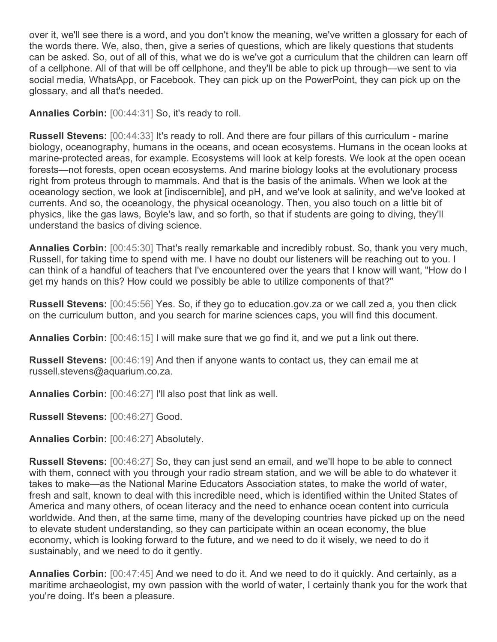over it, we'll see there is a word, and you don't know the meaning, we've written a glossary for each of the words there. We, also, then, give a series of questions, which are likely questions that students can be asked. So, out of all of this, what we do is we've got a curriculum that the children can learn off of a cellphone. All of that will be off cellphone, and they'll be able to pick up through—we sent to via social media, WhatsApp, or Facebook. They can pick up on the PowerPoint, they can pick up on the glossary, and all that's needed.

**Annalies Corbin:** [00:44:31] So, it's ready to roll.

**Russell Stevens:** [00:44:33] It's ready to roll. And there are four pillars of this curriculum - marine biology, oceanography, humans in the oceans, and ocean ecosystems. Humans in the ocean looks at marine-protected areas, for example. Ecosystems will look at kelp forests. We look at the open ocean forests—not forests, open ocean ecosystems. And marine biology looks at the evolutionary process right from proteus through to mammals. And that is the basis of the animals. When we look at the oceanology section, we look at [indiscernible], and pH, and we've look at salinity, and we've looked at currents. And so, the oceanology, the physical oceanology. Then, you also touch on a little bit of physics, like the gas laws, Boyle's law, and so forth, so that if students are going to diving, they'll understand the basics of diving science.

**Annalies Corbin:** [00:45:30] That's really remarkable and incredibly robust. So, thank you very much, Russell, for taking time to spend with me. I have no doubt our listeners will be reaching out to you. I can think of a handful of teachers that I've encountered over the years that I know will want, "How do I get my hands on this? How could we possibly be able to utilize components of that?"

**Russell Stevens:** [00:45:56] Yes. So, if they go to education.gov.za or we call zed a, you then click on the curriculum button, and you search for marine sciences caps, you will find this document.

**Annalies Corbin:** [00:46:15] I will make sure that we go find it, and we put a link out there.

**Russell Stevens:** [00:46:19] And then if anyone wants to contact us, they can email me at russell.stevens@aquarium.co.za.

**Annalies Corbin:** [00:46:27] I'll also post that link as well.

**Russell Stevens:** [00:46:27] Good.

**Annalies Corbin:** [00:46:27] Absolutely.

**Russell Stevens:** [00:46:27] So, they can just send an email, and we'll hope to be able to connect with them, connect with you through your radio stream station, and we will be able to do whatever it takes to make—as the National Marine Educators Association states, to make the world of water, fresh and salt, known to deal with this incredible need, which is identified within the United States of America and many others, of ocean literacy and the need to enhance ocean content into curricula worldwide. And then, at the same time, many of the developing countries have picked up on the need to elevate student understanding, so they can participate within an ocean economy, the blue economy, which is looking forward to the future, and we need to do it wisely, we need to do it sustainably, and we need to do it gently.

**Annalies Corbin:** [00:47:45] And we need to do it. And we need to do it quickly. And certainly, as a maritime archaeologist, my own passion with the world of water, I certainly thank you for the work that you're doing. It's been a pleasure.